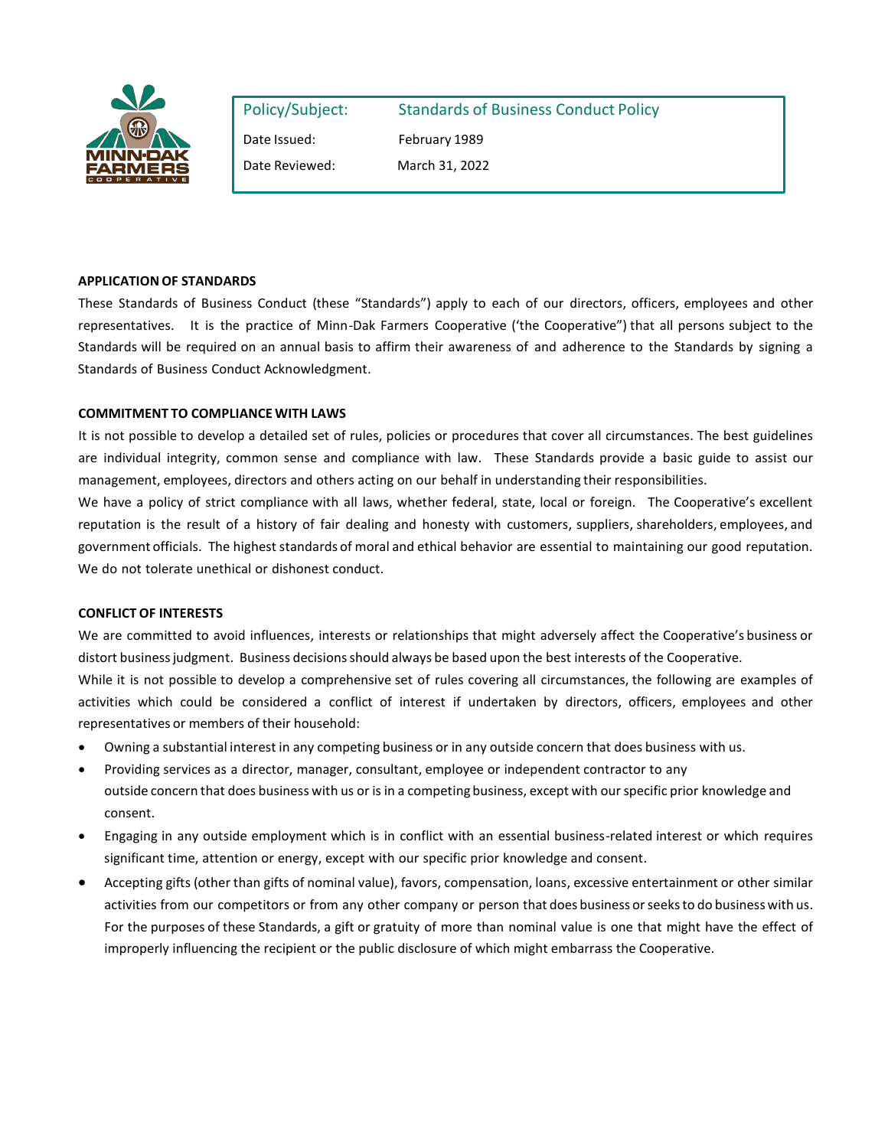

| Policy/Subject: | <b>Standards of Business Conduct Policy</b> |
|-----------------|---------------------------------------------|
| Date Issued:    | February 1989                               |
| Date Reviewed:  | March 31, 2022                              |

## **APPLICATION OF STANDARDS**

These Standards of Business Conduct (these "Standards") apply to each of our directors, officers, employees and other representatives. It is the practice of Minn-Dak Farmers Cooperative ('the Cooperative") that all persons subject to the Standards will be required on an annual basis to affirm their awareness of and adherence to the Standards by signing a Standards of Business Conduct Acknowledgment.

## **COMMITMENT TO COMPLIANCE WITH LAWS**

It is not possible to develop a detailed set of rules, policies or procedures that cover all circumstances. The best guidelines are individual integrity, common sense and compliance with law. These Standards provide a basic guide to assist our management, employees, directors and others acting on our behalf in understanding their responsibilities.

We have a policy of strict compliance with all laws, whether federal, state, local or foreign. The Cooperative's excellent reputation is the result of a history of fair dealing and honesty with customers, suppliers, shareholders, employees, and government officials. The highest standards of moral and ethical behavior are essential to maintaining our good reputation. We do not tolerate unethical or dishonest conduct.

### **CONFLICT OF INTERESTS**

We are committed to avoid influences, interests or relationships that might adversely affect the Cooperative's business or distort businessjudgment. Business decisionsshould always be based upon the best interests of the Cooperative. While it is not possible to develop a comprehensive set of rules covering all circumstances, the following are examples of activities which could be considered a conflict of interest if undertaken by directors, officers, employees and other representatives or members of their household:

- Owning a substantial interest in any competing business or in any outside concern that does business with us.
- Providing services as a director, manager, consultant, employee or independent contractor to any outside concern that does business with us or is in a competing business, except with ourspecific prior knowledge and consent.
- Engaging in any outside employment which is in conflict with an essential business-related interest or which requires significant time, attention or energy, except with our specific prior knowledge and consent.
- Accepting gifts (other than gifts of nominal value), favors, compensation, loans, excessive entertainment or other similar activities from our competitors or from any other company or person that does business orseeksto do businesswith us. For the purposes of these Standards, a gift or gratuity of more than nominal value is one that might have the effect of improperly influencing the recipient or the public disclosure of which might embarrass the Cooperative.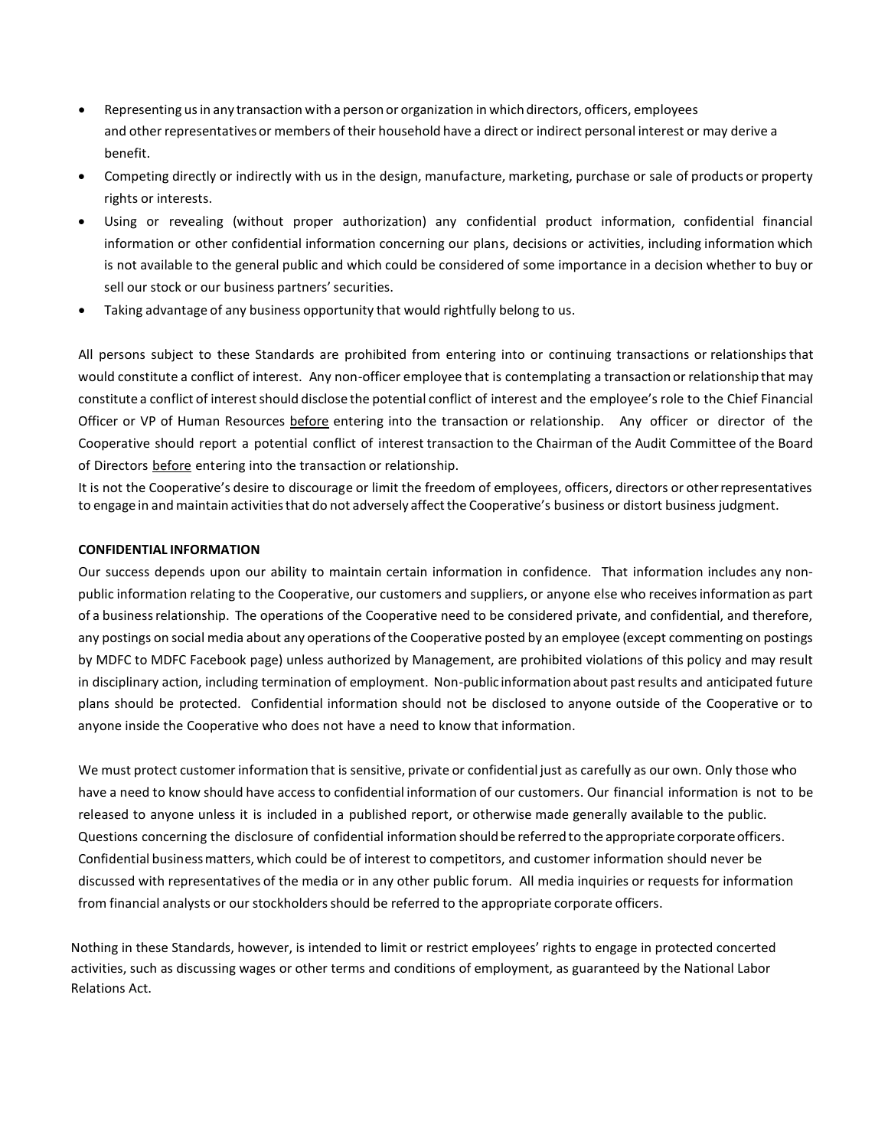- Representing us in any transaction with a person or organization in which directors, officers, employees and other representatives or members of their household have a direct or indirect personal interest or may derive a benefit.
- Competing directly or indirectly with us in the design, manufacture, marketing, purchase or sale of products or property rights or interests.
- Using or revealing (without proper authorization) any confidential product information, confidential financial information or other confidential information concerning our plans, decisions or activities, including information which is not available to the general public and which could be considered of some importance in a decision whether to buy or sell our stock or our business partners' securities.
- Taking advantage of any business opportunity that would rightfully belong to us.

All persons subject to these Standards are prohibited from entering into or continuing transactions or relationships that would constitute a conflict of interest. Any non-officer employee that is contemplating a transaction or relationship that may constitute a conflict of interestshould disclose the potential conflict of interest and the employee's role to the Chief Financial Officer or VP of Human Resources before entering into the transaction or relationship. Any officer or director of the Cooperative should report a potential conflict of interest transaction to the Chairman of the Audit Committee of the Board of Directors before entering into the transaction or relationship.

It is not the Cooperative's desire to discourage or limit the freedom of employees, officers, directors or otherrepresentatives to engage in and maintain activities that do not adversely affect the Cooperative's business or distort business judgment.

## **CONFIDENTIAL INFORMATION**

Our success depends upon our ability to maintain certain information in confidence. That information includes any nonpublic information relating to the Cooperative, our customers and suppliers, or anyone else who receives information as part of a business relationship. The operations of the Cooperative need to be considered private, and confidential, and therefore, any postings on social media about any operations of the Cooperative posted by an employee (except commenting on postings by MDFC to MDFC Facebook page) unless authorized by Management, are prohibited violations of this policy and may result in disciplinary action, including termination of employment. Non-public information about pastresults and anticipated future plans should be protected. Confidential information should not be disclosed to anyone outside of the Cooperative or to anyone inside the Cooperative who does not have a need to know that information.

We must protect customer information that is sensitive, private or confidential just as carefully as our own. Only those who have a need to know should have access to confidential information of our customers. Our financial information is not to be released to anyone unless it is included in a published report, or otherwise made generally available to the public. Questions concerning the disclosure of confidential information should be referred to the appropriate corporate officers. Confidential businessmatters, which could be of interest to competitors, and customer information should never be discussed with representatives of the media or in any other public forum. All media inquiries or requests for information from financial analysts or our stockholders should be referred to the appropriate corporate officers.

Nothing in these Standards, however, is intended to limit or restrict employees' rights to engage in protected concerted activities, such as discussing wages or other terms and conditions of employment, as guaranteed by the National Labor Relations Act.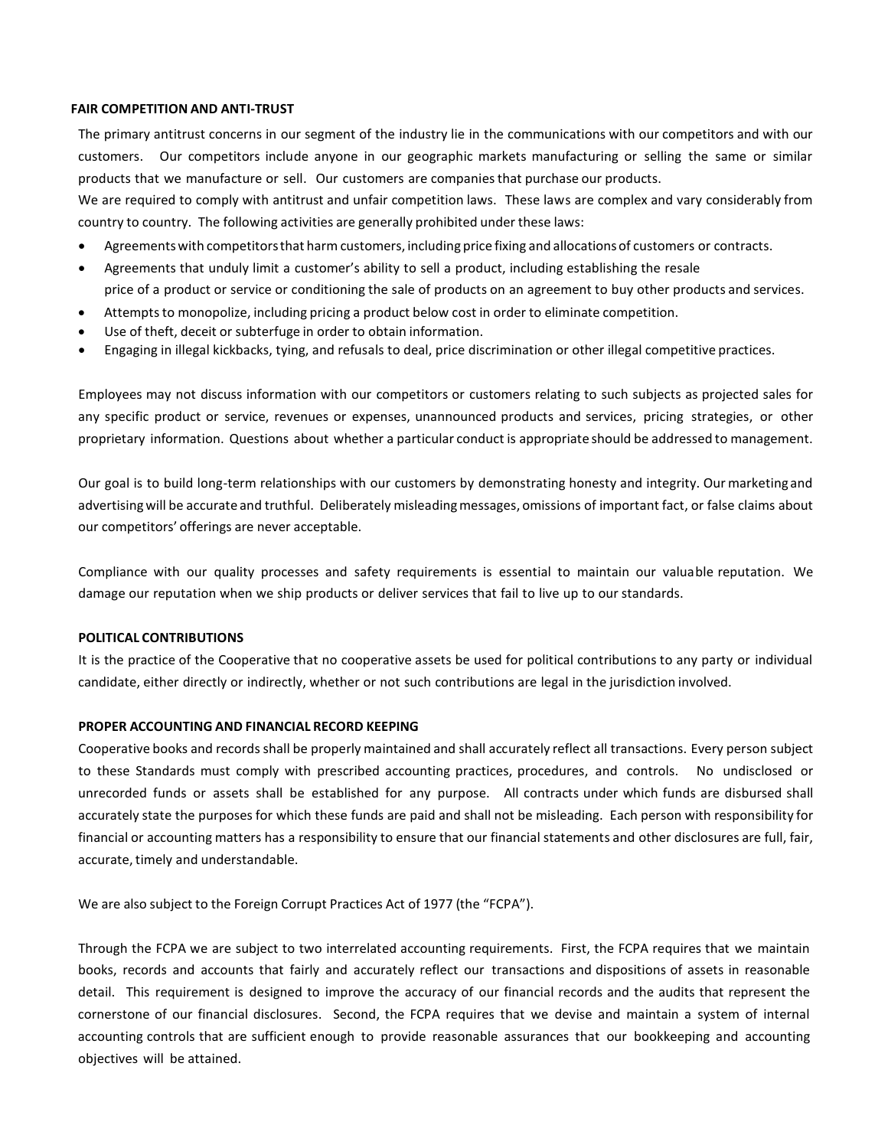#### **FAIR COMPETITION AND ANTI-TRUST**

The primary antitrust concerns in our segment of the industry lie in the communications with our competitors and with our customers. Our competitors include anyone in our geographic markets manufacturing or selling the same or similar products that we manufacture or sell. Our customers are companiesthat purchase our products.

We are required to comply with antitrust and unfair competition laws. These laws are complex and vary considerably from country to country. The following activities are generally prohibited under these laws:

- Agreementswith competitorsthat harm customers, including price fixing and allocationsof customers or contracts.
- Agreements that unduly limit a customer's ability to sell a product, including establishing the resale price of a product or service or conditioning the sale of products on an agreement to buy other products and services.
- Attempts to monopolize, including pricing a product below cost in order to eliminate competition.
- Use of theft, deceit or subterfuge in order to obtain information.
- Engaging in illegal kickbacks, tying, and refusals to deal, price discrimination or other illegal competitive practices.

Employees may not discuss information with our competitors or customers relating to such subjects as projected sales for any specific product or service, revenues or expenses, unannounced products and services, pricing strategies, or other proprietary information. Questions about whether a particular conduct is appropriate should be addressed to management.

Our goal is to build long-term relationships with our customers by demonstrating honesty and integrity. Our marketing and advertising will be accurate and truthful. Deliberately misleading messages, omissions of important fact, or false claims about our competitors' offerings are never acceptable.

Compliance with our quality processes and safety requirements is essential to maintain our valuable reputation. We damage our reputation when we ship products or deliver services that fail to live up to our standards.

## **POLITICAL CONTRIBUTIONS**

It is the practice of the Cooperative that no cooperative assets be used for political contributions to any party or individual candidate, either directly or indirectly, whether or not such contributions are legal in the jurisdiction involved.

### **PROPER ACCOUNTING AND FINANCIAL RECORD KEEPING**

Cooperative books and records shall be properly maintained and shall accurately reflect all transactions. Every person subject to these Standards must comply with prescribed accounting practices, procedures, and controls. No undisclosed or unrecorded funds or assets shall be established for any purpose. All contracts under which funds are disbursed shall accurately state the purposes for which these funds are paid and shall not be misleading. Each person with responsibility for financial or accounting matters has a responsibility to ensure that our financial statements and other disclosures are full, fair, accurate, timely and understandable.

We are also subject to the Foreign Corrupt Practices Act of 1977 (the "FCPA").

Through the FCPA we are subject to two interrelated accounting requirements. First, the FCPA requires that we maintain books, records and accounts that fairly and accurately reflect our transactions and dispositions of assets in reasonable detail. This requirement is designed to improve the accuracy of our financial records and the audits that represent the cornerstone of our financial disclosures. Second, the FCPA requires that we devise and maintain a system of internal accounting controls that are sufficient enough to provide reasonable assurances that our bookkeeping and accounting objectives will be attained.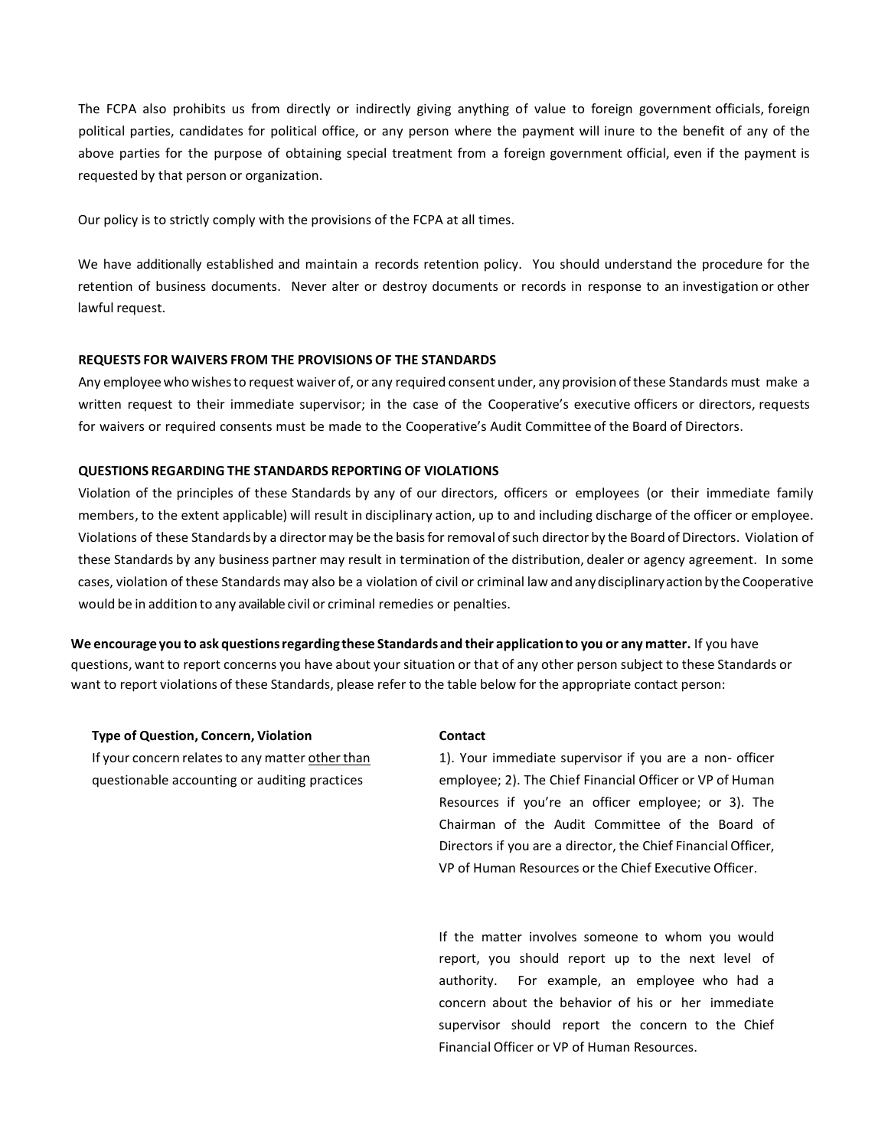The FCPA also prohibits us from directly or indirectly giving anything of value to foreign government officials, foreign political parties, candidates for political office, or any person where the payment will inure to the benefit of any of the above parties for the purpose of obtaining special treatment from a foreign government official, even if the payment is requested by that person or organization.

Our policy is to strictly comply with the provisions of the FCPA at all times.

We have additionally established and maintain a records retention policy. You should understand the procedure for the retention of business documents. Never alter or destroy documents or records in response to an investigation or other lawful request.

#### **REQUESTS FOR WAIVERS FROM THE PROVISIONS OF THE STANDARDS**

Any employee who wishes to request waiver of, or any required consent under, any provision of these Standards must make a written request to their immediate supervisor; in the case of the Cooperative's executive officers or directors, requests for waivers or required consents must be made to the Cooperative's Audit Committee of the Board of Directors.

## **QUESTIONS REGARDING THE STANDARDS REPORTING OF VIOLATIONS**

Violation of the principles of these Standards by any of our directors, officers or employees (or their immediate family members, to the extent applicable) will result in disciplinary action, up to and including discharge of the officer or employee. Violations of these Standards by a director may be the basis for removal of such director by the Board of Directors. Violation of these Standards by any business partner may result in termination of the distribution, dealer or agency agreement. In some cases, violation of these Standards may also be a violation of civil or criminal law and any disciplinaryaction by the Cooperative would be in addition to any available civil or criminal remedies or penalties.

**We encourage you to ask questions regarding these Standards and their applicationto you or any matter.** If you have questions, want to report concerns you have about your situation or that of any other person subject to these Standards or want to report violations of these Standards, please refer to the table below for the appropriate contact person:

#### **Type of Question, Concern, Violation Contact**

If your concern relates to any matter other than questionable accounting or auditing practices

1). Your immediate supervisor if you are a non- officer employee; 2). The Chief Financial Officer or VP of Human Resources if you're an officer employee; or 3). The Chairman of the Audit Committee of the Board of Directors if you are a director, the Chief Financial Officer, VP of Human Resources or the Chief Executive Officer.

If the matter involves someone to whom you would report, you should report up to the next level of authority. For example, an employee who had a concern about the behavior of his or her immediate supervisor should report the concern to the Chief Financial Officer or VP of Human Resources.